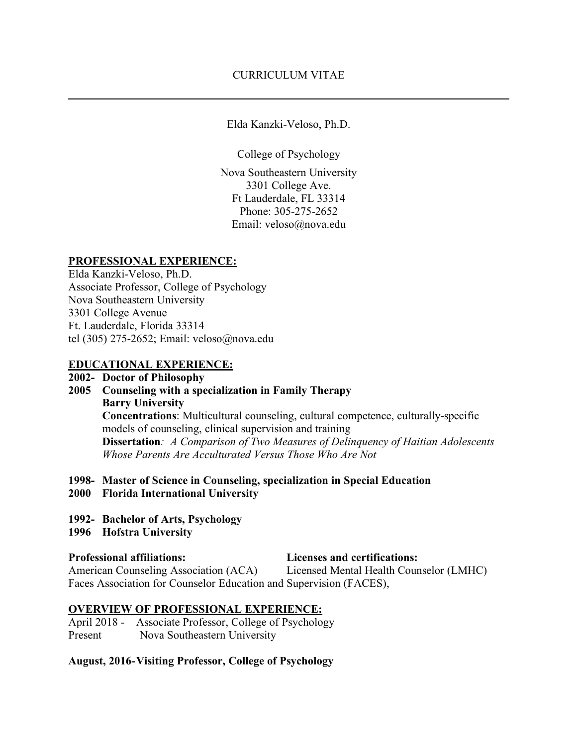**\_\_\_\_\_\_\_\_\_\_\_\_\_\_\_\_\_\_\_\_\_\_\_\_\_\_\_\_\_\_\_\_\_\_\_\_\_\_\_\_\_\_\_\_\_\_\_\_\_\_\_\_\_\_\_\_\_\_\_\_\_\_\_\_\_\_\_\_\_\_\_\_\_\_\_\_\_\_**

Elda Kanzki-Veloso, Ph.D.

College of Psychology

Nova Southeastern University 3301 College Ave. Ft Lauderdale, FL 33314 Phone: 305-275-2652 Email: veloso@nova.edu

### **PROFESSIONAL EXPERIENCE:**

Elda Kanzki-Veloso, Ph.D. Associate Professor, College of Psychology Nova Southeastern University 3301 College Avenue Ft. Lauderdale, Florida 33314 tel (305) 275-2652; Email: veloso@nova.edu

### **EDUCATIONAL EXPERIENCE:**

## **2002- Doctor of Philosophy**

- **2005 Counseling with a specialization in Family Therapy Barry University Concentrations**: Multicultural counseling, cultural competence, culturally-specific models of counseling, clinical supervision and training **Dissertation***: A Comparison of Two Measures of Delinquency of Haitian Adolescents Whose Parents Are Acculturated Versus Those Who Are Not*
- **1998- Master of Science in Counseling, specialization in Special Education**
- **2000 Florida International University**
- **1992- Bachelor of Arts, Psychology**
- **1996 Hofstra University**

**Professional affiliations: Licenses and certifications:** American Counseling Association (ACA)Licensed Mental Health Counselor (LMHC) Faces Association for Counselor Education and Supervision (FACES),

# **OVERVIEW OF PROFESSIONAL EXPERIENCE:**

April 2018 - Associate Professor, College of Psychology Present Nova Southeastern University

### **August, 2016-Visiting Professor, College of Psychology**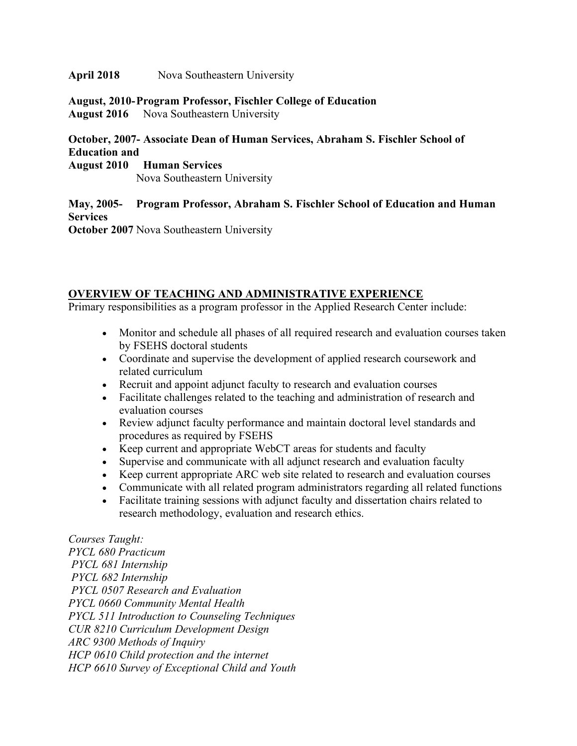#### **April 2018** Nova Southeastern University

#### **August, 2010-Program Professor, Fischler College of Education August 2016** Nova Southeastern University

## **October, 2007- Associate Dean of Human Services, Abraham S. Fischler School of Education and**

**August 2010 Human Services**

Nova Southeastern University

**May, 2005- Program Professor, Abraham S. Fischler School of Education and Human Services**

**October 2007** Nova Southeastern University

### **OVERVIEW OF TEACHING AND ADMINISTRATIVE EXPERIENCE**

Primary responsibilities as a program professor in the Applied Research Center include:

- Monitor and schedule all phases of all required research and evaluation courses taken by FSEHS doctoral students
- Coordinate and supervise the development of applied research coursework and related curriculum
- Recruit and appoint adjunct faculty to research and evaluation courses
- Facilitate challenges related to the teaching and administration of research and evaluation courses
- Review adjunct faculty performance and maintain doctoral level standards and procedures as required by FSEHS
- Keep current and appropriate WebCT areas for students and faculty
- Supervise and communicate with all adjunct research and evaluation faculty
- Keep current appropriate ARC web site related to research and evaluation courses
- Communicate with all related program administrators regarding all related functions
- Facilitate training sessions with adjunct faculty and dissertation chairs related to research methodology, evaluation and research ethics.

*Courses Taught: PYCL 680 Practicum PYCL 681 Internship PYCL 682 Internship PYCL 0507 Research and Evaluation PYCL 0660 Community Mental Health PYCL 511 Introduction to Counseling Techniques CUR 8210 Curriculum Development Design ARC 9300 Methods of Inquiry HCP 0610 Child protection and the internet HCP 6610 Survey of Exceptional Child and Youth*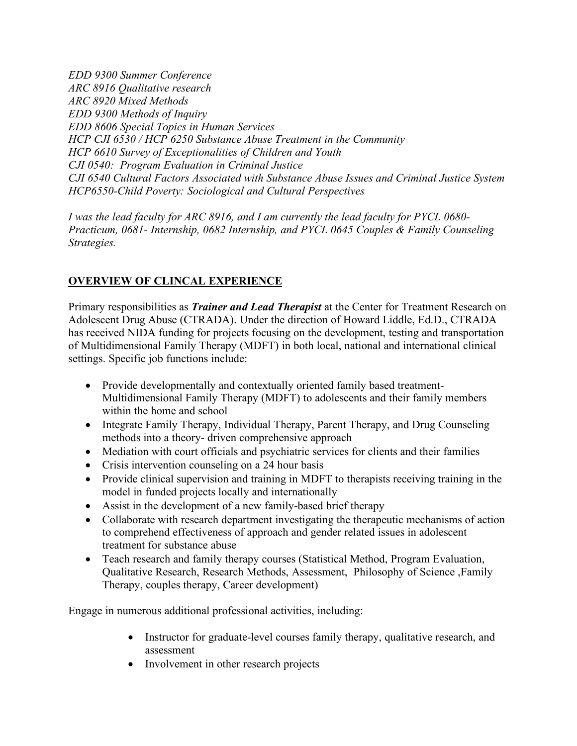*EDD 9300 Summer Conference ARC 8916 Qualitative research ARC 8920 Mixed Methods EDD 9300 Methods of Inquiry EDD 8606 Special Topics in Human Services HCP CJI 6530 / HCP 6250 Substance Abuse Treatment in the Community HCP 6610 Survey of Exceptionalities of Children and Youth CJI 0540: Program Evaluation in Criminal Justice CJI 6540 Cultural Factors Associated with Substance Abuse Issues and Criminal Justice System HCP6550-Child Poverty: Sociological and Cultural Perspectives*

*I was the lead faculty for ARC 8916, and I am currently the lead faculty for PYCL 0680- Practicum, 0681- Internship, 0682 Internship, and PYCL 0645 Couples & Family Counseling Strategies.*

# **OVERVIEW OF CLINCAL EXPERIENCE**

Primary responsibilities as *Trainer and Lead Therapist* at the Center for Treatment Research on Adolescent Drug Abuse (CTRADA). Under the direction of Howard Liddle, Ed.D., CTRADA has received NIDA funding for projects focusing on the development, testing and transportation of Multidimensional Family Therapy (MDFT) in both local, national and international clinical settings. Specific job functions include:

- Provide developmentally and contextually oriented family based treatment-Multidimensional Family Therapy (MDFT) to adolescents and their family members within the home and school
- Integrate Family Therapy, Individual Therapy, Parent Therapy, and Drug Counseling methods into a theory- driven comprehensive approach
- Mediation with court officials and psychiatric services for clients and their families
- Crisis intervention counseling on a 24 hour basis
- Provide clinical supervision and training in MDFT to therapists receiving training in the model in funded projects locally and internationally
- Assist in the development of a new family-based brief therapy
- Collaborate with research department investigating the therapeutic mechanisms of action to comprehend effectiveness of approach and gender related issues in adolescent treatment for substance abuse
- Teach research and family therapy courses (Statistical Method, Program Evaluation, Qualitative Research, Research Methods, Assessment, Philosophy of Science ,Family Therapy, couples therapy, Career development)

Engage in numerous additional professional activities, including:

- Instructor for graduate-level courses family therapy, qualitative research, and assessment
- Involvement in other research projects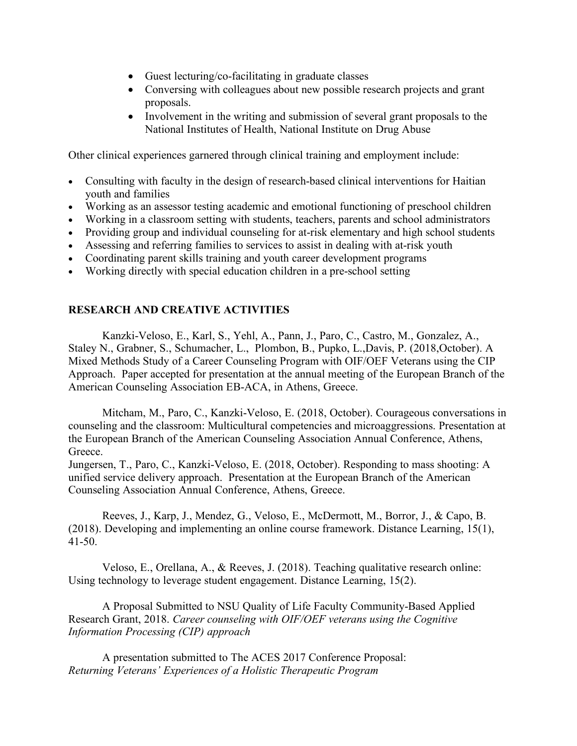- Guest lecturing/co-facilitating in graduate classes
- Conversing with colleagues about new possible research projects and grant proposals.
- Involvement in the writing and submission of several grant proposals to the National Institutes of Health, National Institute on Drug Abuse

Other clinical experiences garnered through clinical training and employment include:

- Consulting with faculty in the design of research-based clinical interventions for Haitian youth and families
- Working as an assessor testing academic and emotional functioning of preschool children
- Working in a classroom setting with students, teachers, parents and school administrators
- Providing group and individual counseling for at-risk elementary and high school students
- Assessing and referring families to services to assist in dealing with at-risk youth
- Coordinating parent skills training and youth career development programs
- Working directly with special education children in a pre-school setting

### **RESEARCH AND CREATIVE ACTIVITIES**

Kanzki-Veloso, E., Karl, S., Yehl, A., Pann, J., Paro, C., Castro, M., Gonzalez, A., Staley N., Grabner, S., Schumacher, L., Plombon, B., Pupko, L.,Davis, P. (2018,October). A Mixed Methods Study of a Career Counseling Program with OIF/OEF Veterans using the CIP Approach. Paper accepted for presentation at the annual meeting of the European Branch of the American Counseling Association EB-ACA, in Athens, Greece.

Mitcham, M., Paro, C., Kanzki-Veloso, E. (2018, October). Courageous conversations in counseling and the classroom: Multicultural competencies and microaggressions. Presentation at the European Branch of the American Counseling Association Annual Conference, Athens, Greece.

Jungersen, T., Paro, C., Kanzki-Veloso, E. (2018, October). Responding to mass shooting: A unified service delivery approach. Presentation at the European Branch of the American Counseling Association Annual Conference, Athens, Greece.

Reeves, J., Karp, J., Mendez, G., Veloso, E., McDermott, M., Borror, J., & Capo, B. (2018). Developing and implementing an online course framework. Distance Learning, 15(1), 41-50.

Veloso, E., Orellana, A., & Reeves, J. (2018). Teaching qualitative research online: Using technology to leverage student engagement. Distance Learning, 15(2).

A Proposal Submitted to NSU Quality of Life Faculty Community-Based Applied Research Grant, 2018. *Career counseling with OIF/OEF veterans using the Cognitive Information Processing (CIP) approach*

A presentation submitted to The ACES 2017 Conference Proposal: *Returning Veterans' Experiences of a Holistic Therapeutic Program*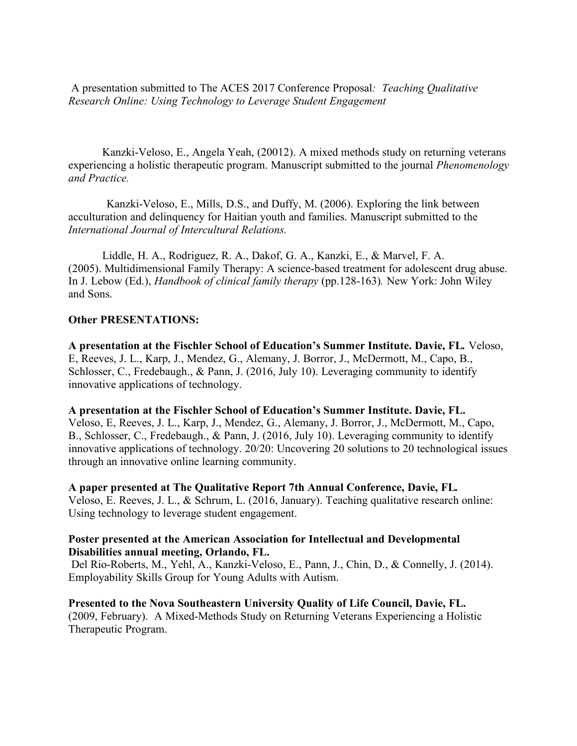A presentation submitted to The ACES 2017 Conference Proposal*: Teaching Qualitative Research Online: Using Technology to Leverage Student Engagement*

Kanzki-Veloso, E., Angela Yeah, (20012). A mixed methods study on returning veterans experiencing a holistic therapeutic program. Manuscript submitted to the journal *Phenomenology and Practice.*

 Kanzki-Veloso, E., Mills, D.S., and Duffy, M. (2006). Exploring the link between acculturation and delinquency for Haitian youth and families. Manuscript submitted to the *International Journal of Intercultural Relations.*

Liddle, H. A., Rodriguez, R. A., Dakof, G. A., Kanzki, E., & Marvel, F. A. (2005). Multidimensional Family Therapy: A science-based treatment for adolescent drug abuse. In J. Lebow (Ed.), *Handbook of clinical family therapy* (pp.128-163)*.* New York: John Wiley and Sons.

### **Other PRESENTATIONS:**

**A presentation at the Fischler School of Education's Summer Institute. Davie, FL***.* Veloso, E, Reeves, J. L., Karp, J., Mendez, G., Alemany, J. Borror, J., McDermott, M., Capo, B., Schlosser, C., Fredebaugh., & Pann, J. (2016, July 10). Leveraging community to identify innovative applications of technology.

**A presentation at the Fischler School of Education's Summer Institute. Davie, FL.** Veloso, E, Reeves, J. L., Karp, J., Mendez, G., Alemany, J. Borror, J., McDermott, M., Capo, B., Schlosser, C., Fredebaugh., & Pann, J. (2016, July 10). Leveraging community to identify innovative applications of technology. 20/20: Uncovering 20 solutions to 20 technological issues through an innovative online learning community.

**A paper presented at The Qualitative Report 7th Annual Conference, Davie, FL***.* Veloso, E. Reeves, J. L., & Schrum, L. (2016, January). Teaching qualitative research online: Using technology to leverage student engagement.

### **Poster presented at the American Association for Intellectual and Developmental Disabilities annual meeting, Orlando, FL.**

Del Rio-Roberts, M., Yehl, A., Kanzki-Veloso, E., Pann, J., Chin, D., & Connelly, J. (2014). Employability Skills Group for Young Adults with Autism.

**Presented to the Nova Southeastern University Quality of Life Council, Davie, FL.** (2009, February). A Mixed-Methods Study on Returning Veterans Experiencing a Holistic Therapeutic Program.